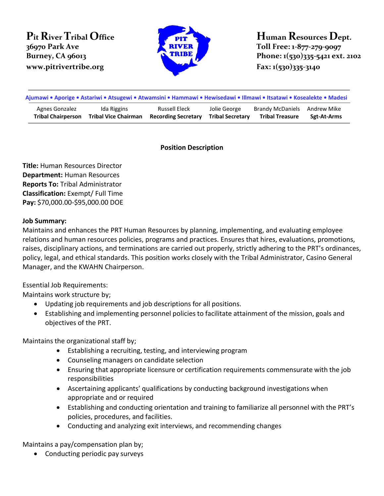**Pit RiverTribal Office 36970 Park Ave** *WWW.pitrivertribe.org* **Fax:**  $1(530)335-3140$ 



**Human ResourcesDept. Toll Free: 1-877-279-9097 Burney, CA** 96013 **Phone: Phone: Phone: 1(530)335-5421 ext.** 2102

| Ajumawi • Aporige • Astariwi • Atsugewi • Atwamsini • Hammawi • Hewisedawi • Illmawi • Itsatawi • Kosealekte • Madesi |                             |                            |                         |                              |             |
|-----------------------------------------------------------------------------------------------------------------------|-----------------------------|----------------------------|-------------------------|------------------------------|-------------|
| Agnes Gonzalez                                                                                                        | Ida Riggins                 | Russell Eleck              | Jolie George            | Brandy McDaniels Andrew Mike | Sgt-At-Arms |
| <b>Tribal Chairperson</b>                                                                                             | <b>Tribal Vice Chairman</b> | <b>Recording Secretary</b> | <b>Tribal Secretary</b> | <b>Tribal Treasure</b>       |             |

## **Position Description**

**Title:** Human Resources Director **Department:** Human Resources **Reports To:** Tribal Administrator **Classification:** Exempt/ Full Time **Pay:** \$70,000.00-\$95,000.00 DOE

# **Job Summary:**

Maintains and enhances the PRT Human Resources by planning, implementing, and evaluating employee relations and human resources policies, programs and practices. Ensures that hires, evaluations, promotions, raises, disciplinary actions, and terminations are carried out properly, strictly adhering to the PRT's ordinances, policy, legal, and ethical standards. This position works closely with the Tribal Administrator, Casino General Manager, and the KWAHN Chairperson.

Essential Job Requirements:

Maintains work structure by;

- Updating job requirements and job descriptions for all positions.
- Establishing and implementing personnel policies to facilitate attainment of the mission, goals and objectives of the PRT.

Maintains the organizational staff by;

- Establishing a recruiting, testing, and interviewing program
- Counseling managers on candidate selection
- Ensuring that appropriate licensure or certification requirements commensurate with the job responsibilities
- Ascertaining applicants' qualifications by conducting background investigations when appropriate and or required
- Establishing and conducting orientation and training to familiarize all personnel with the PRT's policies, procedures, and facilities.
- Conducting and analyzing exit interviews, and recommending changes

Maintains a pay/compensation plan by;

• Conducting periodic pay surveys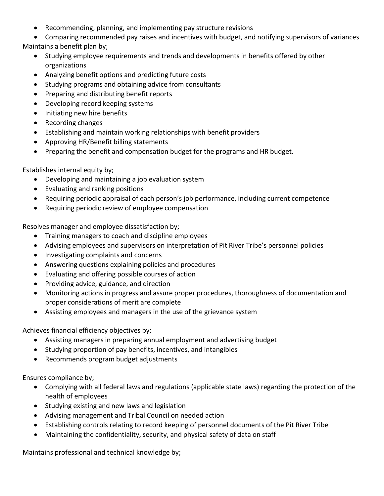- Recommending, planning, and implementing pay structure revisions
- Comparing recommended pay raises and incentives with budget, and notifying supervisors of variances Maintains a benefit plan by;
- - Studying employee requirements and trends and developments in benefits offered by other organizations
	- Analyzing benefit options and predicting future costs
	- Studying programs and obtaining advice from consultants
	- Preparing and distributing benefit reports
	- Developing record keeping systems
	- Initiating new hire benefits
	- Recording changes
	- Establishing and maintain working relationships with benefit providers
	- Approving HR/Benefit billing statements
	- Preparing the benefit and compensation budget for the programs and HR budget.

Establishes internal equity by;

- Developing and maintaining a job evaluation system
- Evaluating and ranking positions
- Requiring periodic appraisal of each person's job performance, including current competence
- Requiring periodic review of employee compensation

Resolves manager and employee dissatisfaction by;

- Training managers to coach and discipline employees
- Advising employees and supervisors on interpretation of Pit River Tribe's personnel policies
- Investigating complaints and concerns
- Answering questions explaining policies and procedures
- Evaluating and offering possible courses of action
- Providing advice, guidance, and direction
- Monitoring actions in progress and assure proper procedures, thoroughness of documentation and proper considerations of merit are complete
- Assisting employees and managers in the use of the grievance system

Achieves financial efficiency objectives by;

- Assisting managers in preparing annual employment and advertising budget
- Studying proportion of pay benefits, incentives, and intangibles
- Recommends program budget adjustments

Ensures compliance by;

- Complying with all federal laws and regulations (applicable state laws) regarding the protection of the health of employees
- Studying existing and new laws and legislation
- Advising management and Tribal Council on needed action
- Establishing controls relating to record keeping of personnel documents of the Pit River Tribe
- Maintaining the confidentiality, security, and physical safety of data on staff

Maintains professional and technical knowledge by;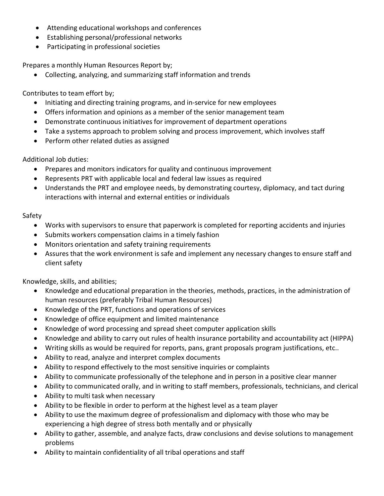- Attending educational workshops and conferences
- Establishing personal/professional networks
- Participating in professional societies

Prepares a monthly Human Resources Report by;

• Collecting, analyzing, and summarizing staff information and trends

Contributes to team effort by;

- Initiating and directing training programs, and in-service for new employees
- Offers information and opinions as a member of the senior management team
- Demonstrate continuous initiatives for improvement of department operations
- Take a systems approach to problem solving and process improvement, which involves staff
- Perform other related duties as assigned

Additional Job duties:

- Prepares and monitors indicators for quality and continuous improvement
- Represents PRT with applicable local and federal law issues as required
- Understands the PRT and employee needs, by demonstrating courtesy, diplomacy, and tact during interactions with internal and external entities or individuals

# Safety

- Works with supervisors to ensure that paperwork is completed for reporting accidents and injuries
- Submits workers compensation claims in a timely fashion
- Monitors orientation and safety training requirements
- Assures that the work environment is safe and implement any necessary changes to ensure staff and client safety

Knowledge, skills, and abilities;

- Knowledge and educational preparation in the theories, methods, practices, in the administration of human resources (preferably Tribal Human Resources)
- Knowledge of the PRT, functions and operations of services
- Knowledge of office equipment and limited maintenance
- Knowledge of word processing and spread sheet computer application skills
- Knowledge and ability to carry out rules of health insurance portability and accountability act (HIPPA)
- Writing skills as would be required for reports, pans, grant proposals program justifications, etc..
- Ability to read, analyze and interpret complex documents
- Ability to respond effectively to the most sensitive inquiries or complaints
- Ability to communicate professionally of the telephone and in person in a positive clear manner
- Ability to communicated orally, and in writing to staff members, professionals, technicians, and clerical
- Ability to multi task when necessary
- Ability to be flexible in order to perform at the highest level as a team player
- Ability to use the maximum degree of professionalism and diplomacy with those who may be experiencing a high degree of stress both mentally and or physically
- Ability to gather, assemble, and analyze facts, draw conclusions and devise solutions to management problems
- Ability to maintain confidentiality of all tribal operations and staff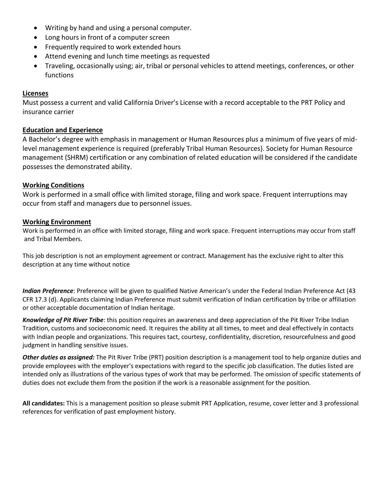- Writing by hand and using a personal computer.
- Long hours in front of a computer screen
- Frequently required to work extended hours
- Attend evening and lunch time meetings as requested
- Traveling, occasionally using; air, tribal or personal vehicles to attend meetings, conferences, or other functions

## **Licenses**

Must possess a current and valid California Driver's License with a record acceptable to the PRT Policy and insurance carrier

## **Education and Experience**

A Bachelor's degree with emphasis in management or Human Resources plus a minimum of five years of midlevel management experience is required (preferably Tribal Human Resources). Society for Human Resource management (SHRM) certification or any combination of related education will be considered if the candidate possesses the demonstrated ability.

#### **Working Conditions**

Work is performed in a small office with limited storage, filing and work space. Frequent interruptions may occur from staff and managers due to personnel issues.

#### **Working Environment**

 Work is performed in an office with limited storage, filing and work space. Frequent interruptions may occur from staff and Tribal Members.

 This job description is not an employment agreement or contract. Management has the exclusive right to alter this description at any time without notice

*Indian Preference*: Preference will be given to qualified Native American's under the Federal Indian Preference Act (43 CFR 17.3 (d). Applicants claiming Indian Preference must submit verification of Indian certification by tribe or affiliation or other acceptable documentation of Indian heritage.

*Knowledge of Pit River Tribe*: this position requires an awareness and deep appreciation of the Pit River Tribe Indian Tradition, customs and socioeconomic need. It requires the ability at all times, to meet and deal effectively in contacts with Indian people and organizations. This requires tact, courtesy, confidentiality, discretion, resourcefulness and good judgment in handling sensitive issues.

*Other duties as assigned:* The Pit River Tribe (PRT) position description is a management tool to help organize duties and provide employees with the employer's expectations with regard to the specific job classification. The duties listed are intended only as illustrations of the various types of work that may be performed. The omission of specific statements of duties does not exclude them from the position if the work is a reasonable assignment for the position.

**All candidates:** This is a management position so please submit PRT Application, resume, cover letter and 3 professional references for verification of past employment history.